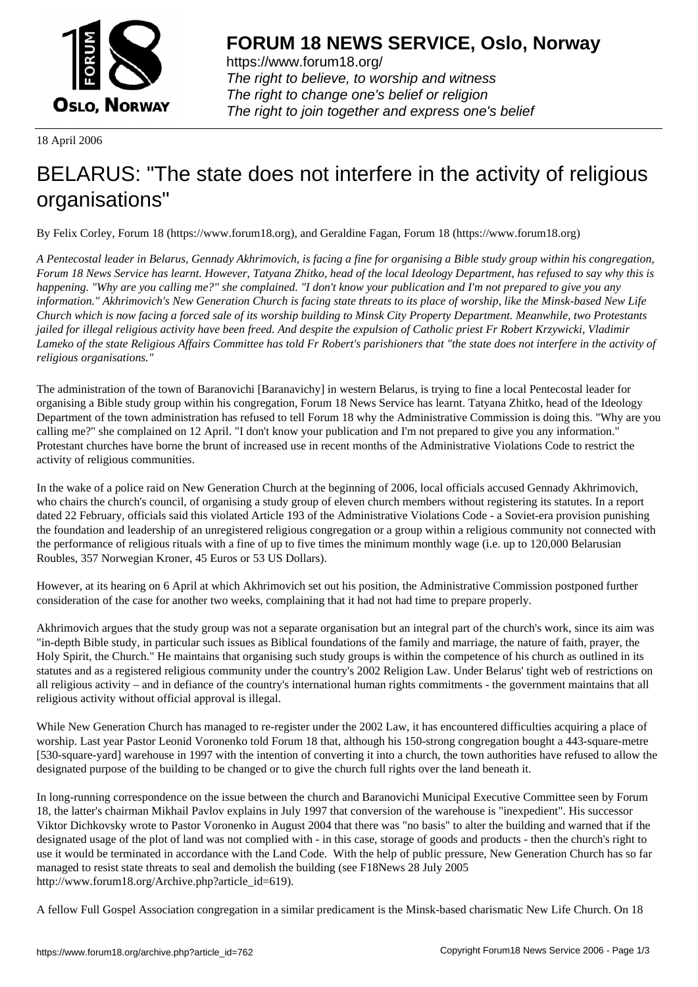

https://www.forum18.org/ The right to believe, to worship and witness The right to change one's belief or religion [The right to join together a](https://www.forum18.org/)nd express one's belief

18 April 2006

## [BELARUS: "The](https://www.forum18.org) state does not interfere in the activity of religious organisations"

By Felix Corley, Forum 18 (https://www.forum18.org), and Geraldine Fagan, Forum 18 (https://www.forum18.org)

*A Pentecostal leader in Belarus, Gennady Akhrimovich, is facing a fine for organising a Bible study group within his congregation, Forum 18 News Service has learnt. However, Tatyana Zhitko, head of the local Ideology Department, has refused to say why this is happening. "Why are you calling me?" she complained. "I don't know your publication and I'm not prepared to give you any information." Akhrimovich's New Generation Church is facing state threats to its place of worship, like the Minsk-based New Life Church which is now facing a forced sale of its worship building to Minsk City Property Department. Meanwhile, two Protestants jailed for illegal religious activity have been freed. And despite the expulsion of Catholic priest Fr Robert Krzywicki, Vladimir Lameko of the state Religious Affairs Committee has told Fr Robert's parishioners that "the state does not interfere in the activity of religious organisations."*

The administration of the town of Baranovichi [Baranavichy] in western Belarus, is trying to fine a local Pentecostal leader for organising a Bible study group within his congregation, Forum 18 News Service has learnt. Tatyana Zhitko, head of the Ideology Department of the town administration has refused to tell Forum 18 why the Administrative Commission is doing this. "Why are you calling me?" she complained on 12 April. "I don't know your publication and I'm not prepared to give you any information." Protestant churches have borne the brunt of increased use in recent months of the Administrative Violations Code to restrict the activity of religious communities.

In the wake of a police raid on New Generation Church at the beginning of 2006, local officials accused Gennady Akhrimovich, who chairs the church's council, of organising a study group of eleven church members without registering its statutes. In a report dated 22 February, officials said this violated Article 193 of the Administrative Violations Code - a Soviet-era provision punishing the foundation and leadership of an unregistered religious congregation or a group within a religious community not connected with the performance of religious rituals with a fine of up to five times the minimum monthly wage (i.e. up to 120,000 Belarusian Roubles, 357 Norwegian Kroner, 45 Euros or 53 US Dollars).

However, at its hearing on 6 April at which Akhrimovich set out his position, the Administrative Commission postponed further consideration of the case for another two weeks, complaining that it had not had time to prepare properly.

Akhrimovich argues that the study group was not a separate organisation but an integral part of the church's work, since its aim was "in-depth Bible study, in particular such issues as Biblical foundations of the family and marriage, the nature of faith, prayer, the Holy Spirit, the Church." He maintains that organising such study groups is within the competence of his church as outlined in its statutes and as a registered religious community under the country's 2002 Religion Law. Under Belarus' tight web of restrictions on all religious activity – and in defiance of the country's international human rights commitments - the government maintains that all religious activity without official approval is illegal.

While New Generation Church has managed to re-register under the 2002 Law, it has encountered difficulties acquiring a place of worship. Last year Pastor Leonid Voronenko told Forum 18 that, although his 150-strong congregation bought a 443-square-metre [530-square-yard] warehouse in 1997 with the intention of converting it into a church, the town authorities have refused to allow the designated purpose of the building to be changed or to give the church full rights over the land beneath it.

In long-running correspondence on the issue between the church and Baranovichi Municipal Executive Committee seen by Forum 18, the latter's chairman Mikhail Pavlov explains in July 1997 that conversion of the warehouse is "inexpedient". His successor Viktor Dichkovsky wrote to Pastor Voronenko in August 2004 that there was "no basis" to alter the building and warned that if the designated usage of the plot of land was not complied with - in this case, storage of goods and products - then the church's right to use it would be terminated in accordance with the Land Code. With the help of public pressure, New Generation Church has so far managed to resist state threats to seal and demolish the building (see F18News 28 July 2005 http://www.forum18.org/Archive.php?article\_id=619).

A fellow Full Gospel Association congregation in a similar predicament is the Minsk-based charismatic New Life Church. On 18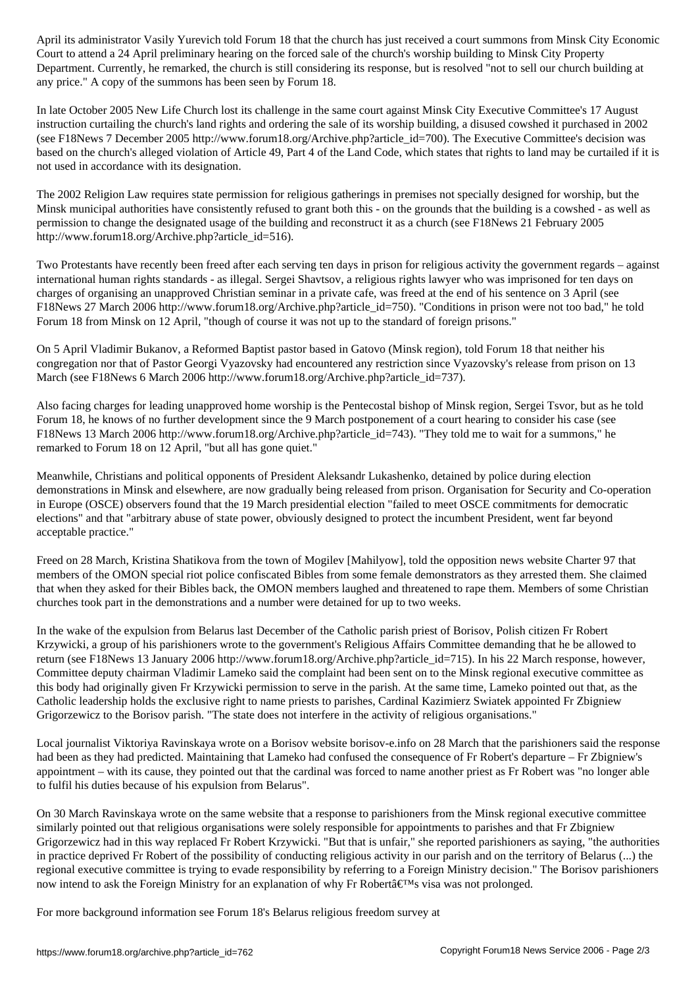Court to attend a 24 April preliminary hearing on the forced sale of the church's worship building to Minsk City Property Department. Currently, he remarked, the church is still considering its response, but is resolved "not to sell our church building at any price." A copy of the summons has been seen by Forum 18.

In late October 2005 New Life Church lost its challenge in the same court against Minsk City Executive Committee's 17 August instruction curtailing the church's land rights and ordering the sale of its worship building, a disused cowshed it purchased in 2002 (see F18News 7 December 2005 http://www.forum18.org/Archive.php?article\_id=700). The Executive Committee's decision was based on the church's alleged violation of Article 49, Part 4 of the Land Code, which states that rights to land may be curtailed if it is not used in accordance with its designation.

The 2002 Religion Law requires state permission for religious gatherings in premises not specially designed for worship, but the Minsk municipal authorities have consistently refused to grant both this - on the grounds that the building is a cowshed - as well as permission to change the designated usage of the building and reconstruct it as a church (see F18News 21 February 2005 http://www.forum18.org/Archive.php?article\_id=516).

Two Protestants have recently been freed after each serving ten days in prison for religious activity the government regards – against international human rights standards - as illegal. Sergei Shavtsov, a religious rights lawyer who was imprisoned for ten days on charges of organising an unapproved Christian seminar in a private cafe, was freed at the end of his sentence on 3 April (see F18News 27 March 2006 http://www.forum18.org/Archive.php?article\_id=750). "Conditions in prison were not too bad," he told Forum 18 from Minsk on 12 April, "though of course it was not up to the standard of foreign prisons."

On 5 April Vladimir Bukanov, a Reformed Baptist pastor based in Gatovo (Minsk region), told Forum 18 that neither his congregation nor that of Pastor Georgi Vyazovsky had encountered any restriction since Vyazovsky's release from prison on 13 March (see F18News 6 March 2006 http://www.forum18.org/Archive.php?article\_id=737).

Also facing charges for leading unapproved home worship is the Pentecostal bishop of Minsk region, Sergei Tsvor, but as he told Forum 18, he knows of no further development since the 9 March postponement of a court hearing to consider his case (see F18News 13 March 2006 http://www.forum18.org/Archive.php?article\_id=743). "They told me to wait for a summons," he remarked to Forum 18 on 12 April, "but all has gone quiet."

Meanwhile, Christians and political opponents of President Aleksandr Lukashenko, detained by police during election demonstrations in Minsk and elsewhere, are now gradually being released from prison. Organisation for Security and Co-operation in Europe (OSCE) observers found that the 19 March presidential election "failed to meet OSCE commitments for democratic elections" and that "arbitrary abuse of state power, obviously designed to protect the incumbent President, went far beyond acceptable practice."

Freed on 28 March, Kristina Shatikova from the town of Mogilev [Mahilyow], told the opposition news website Charter 97 that members of the OMON special riot police confiscated Bibles from some female demonstrators as they arrested them. She claimed that when they asked for their Bibles back, the OMON members laughed and threatened to rape them. Members of some Christian churches took part in the demonstrations and a number were detained for up to two weeks.

In the wake of the expulsion from Belarus last December of the Catholic parish priest of Borisov, Polish citizen Fr Robert Krzywicki, a group of his parishioners wrote to the government's Religious Affairs Committee demanding that he be allowed to return (see F18News 13 January 2006 http://www.forum18.org/Archive.php?article\_id=715). In his 22 March response, however, Committee deputy chairman Vladimir Lameko said the complaint had been sent on to the Minsk regional executive committee as this body had originally given Fr Krzywicki permission to serve in the parish. At the same time, Lameko pointed out that, as the Catholic leadership holds the exclusive right to name priests to parishes, Cardinal Kazimierz Swiatek appointed Fr Zbigniew Grigorzewicz to the Borisov parish. "The state does not interfere in the activity of religious organisations."

Local journalist Viktoriya Ravinskaya wrote on a Borisov website borisov-e.info on 28 March that the parishioners said the response had been as they had predicted. Maintaining that Lameko had confused the consequence of Fr Robert's departure – Fr Zbigniew's appointment – with its cause, they pointed out that the cardinal was forced to name another priest as Fr Robert was "no longer able to fulfil his duties because of his expulsion from Belarus".

On 30 March Ravinskaya wrote on the same website that a response to parishioners from the Minsk regional executive committee similarly pointed out that religious organisations were solely responsible for appointments to parishes and that Fr Zbigniew Grigorzewicz had in this way replaced Fr Robert Krzywicki. "But that is unfair," she reported parishioners as saying, "the authorities in practice deprived Fr Robert of the possibility of conducting religious activity in our parish and on the territory of Belarus (...) the regional executive committee is trying to evade responsibility by referring to a Foreign Ministry decision." The Borisov parishioners now intend to ask the Foreign Ministry for an explanation of why Fr Robert $\hat{\mathbf{a}} \in \mathbb{N}$  visa was not prolonged.

For more background information see Forum 18's Belarus religious freedom survey at